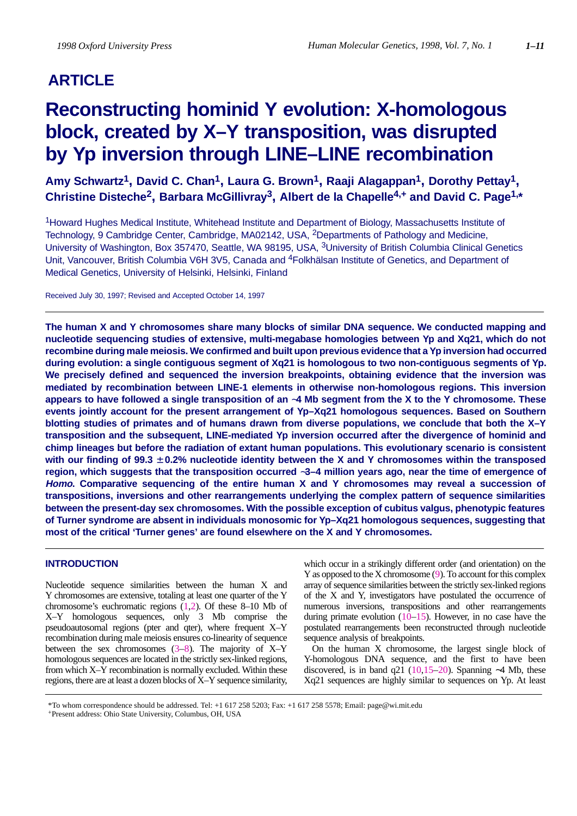## **ARTICLE**

# **Reconstructing hominid Y evolution: X-homologous block, created by X–Y transposition, was disrupted by Yp inversion through LINE–LINE recombination**

**Amy Schwartz1, David C. Chan1, Laura G. Brown1, Raaji Alagappan1, Dorothy Pettay1, Christine Disteche2, Barbara McGillivray3, Albert de la Chapelle4,+ and David C. Page1,\***

1Howard Hughes Medical Institute, Whitehead Institute and Department of Biology, Massachusetts Institute of Technology, 9 Cambridge Center, Cambridge, MA02142, USA, 2Departments of Pathology and Medicine, University of Washington, Box 357470, Seattle, WA 98195, USA, <sup>3</sup>University of British Columbia Clinical Genetics Unit, Vancouver, British Columbia V6H 3V5, Canada and <sup>4</sup>Folkhälsan Institute of Genetics, and Department of Medical Genetics, University of Helsinki, Helsinki, Finland

Received July 30, 1997; Revised and Accepted October 14, 1997

**The human X and Y chromosomes share many blocks of similar DNA sequence. We conducted mapping and nucleotide sequencing studies of extensive, multi-megabase homologies between Yp and Xq21, which do not recombine during male meiosis. We confirmed and built upon previous evidence that a Yp inversion had occurred during evolution: a single contiguous segment of Xq21 is homologous to two non-contiguous segments of Yp. We precisely defined and sequenced the inversion breakpoints, obtaining evidence that the inversion was mediated by recombination between LINE-1 elements in otherwise non-homologous regions. This inversion appears to have followed a single transposition of an** ∼**4 Mb segment from the X to the Y chromosome. These events jointly account for the present arrangement of Yp–Xq21 homologous sequences. Based on Southern blotting studies of primates and of humans drawn from diverse populations, we conclude that both the X–Y transposition and the subsequent, LINE-mediated Yp inversion occurred after the divergence of hominid and chimp lineages but before the radiation of extant human populations. This evolutionary scenario is consistent with our finding of 99.3** ± **0.2% nucleotide identity between the X and Y chromosomes within the transposed region, which suggests that the transposition occurred** ∼**3–4 million years ago, near the time of emergence of Homo. Comparative sequencing of the entire human X and Y chromosomes may reveal a succession of transpositions, inversions and other rearrangements underlying the complex pattern of sequence similarities between the present-day sex chromosomes. With the possible exception of cubitus valgus, phenotypic features of Turner syndrome are absent in individuals monosomic for Yp–Xq21 homologous sequences, suggesting that most of the critical 'Turner genes' are found elsewhere on the X and Y chromosomes.**

## **INTRODUCTION**

Nucleotide sequence similarities between the human X and Y chromosomes are extensive, totaling at least one quarter of the Y chromosome's euchromatic regions (1,2). Of these 8–10 Mb of X–Y homologous sequences, only 3 Mb comprise the pseudoautosomal regions (pter and qter), where frequent X–Y recombination during male meiosis ensures co-linearity of sequence between the sex chromosomes  $(3-8)$ . The majority of X–Y homologous sequences are located in the strictly sex-linked regions, from which X–Y recombination is normally excluded. Within these regions, there are at least a dozen blocks of X–Y sequence similarity, which occur in a strikingly different order (and orientation) on the Y as opposed to the X chromosome (9). To account for this complex array of sequence similarities between the strictly sex-linked regions of the X and Y, investigators have postulated the occurrence of numerous inversions, transpositions and other rearrangements during primate evolution  $(10-15)$ . However, in no case have the postulated rearrangements been reconstructed through nucleotide sequence analysis of breakpoints.

On the human X chromosome, the largest single block of Y-homologous DNA sequence, and the first to have been discovered, is in band q21 (10,15–20). Spanning ∼4 Mb, these Xq21 sequences are highly similar to sequences on Yp. At least

\*To whom correspondence should be addressed. Tel: +1 617 258 5203; Fax: +1 617 258 5578; Email: page@wi.mit.edu +Present address: Ohio State University, Columbus, OH, USA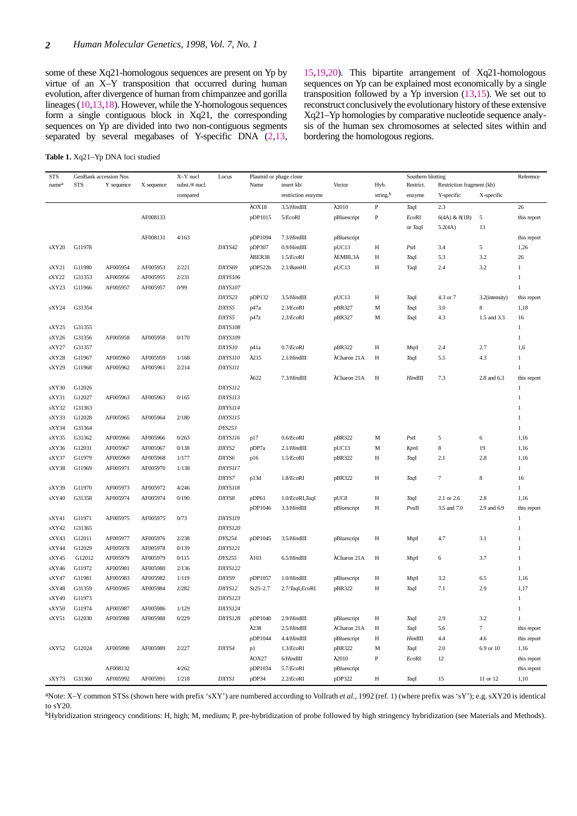some of these Xq21-homologous sequences are present on Yp by virtue of an X–Y transposition that occurred during human evolution, after divergence of human from chimpanzee and gorilla lineages (10,13,18). However, while the Y-homologous sequences form a single contiguous block in Xq21, the corresponding sequences on Yp are divided into two non-contiguous segments separated by several megabases of Y-specific DNA (2,13,

**Table 1.** Xq21–Yp DNA loci studied

15,19,20). This bipartite arrangement of Xq21-homologous sequences on Yp can be explained most economically by a single transposition followed by a Yp inversion (13,15). We set out to reconstruct conclusively the evolutionary history of these extensive Xq21–Yp homologies by comparative nucleotide sequence analysis of the human sex chromosomes at selected sites within and bordering the homologous regions.

| STS   | GenBank accession Nos |            |            | X-Y nucl       | Locus          | Plasmid or phage clone<br>Southern blotting |                    |                |                      |              | Reference                 |                  |              |
|-------|-----------------------|------------|------------|----------------|----------------|---------------------------------------------|--------------------|----------------|----------------------|--------------|---------------------------|------------------|--------------|
| namea | <b>STS</b>            | Y sequence | X sequence | subst./# nucl. |                | Name                                        | insert kb/         | Vector         | Hyb.                 | Restrict.    | Restriction fragment (kb) |                  |              |
|       |                       |            |            | compared       |                |                                             | restriction enzyme |                | string. <sup>b</sup> | enzyme       | Y-specific                | X-specific       |              |
|       |                       |            |            |                |                | $\lambda$ OX18                              | $3.5/H$ indIII     | $\lambda$ 2010 | $\, {\bf P}$         | TaqI         | 2.3                       |                  | 26           |
|       |                       |            | AF008133   |                |                | pDP1015                                     | 5/EcoRI            | pBluescript    | $\, {\bf P}$         | EcoRI        | 6(4A) & 8(1B)             | 5                | this report  |
|       |                       |            |            |                |                |                                             |                    |                |                      | or TaqI      | 5.2(4A)                   | 13               |              |
|       |                       |            | AF008131   | 4/163          |                | pDP1094                                     | $7.3/H$ indIII     | pBluescript    |                      |              |                           |                  | this report  |
| sXY20 | G11978                |            |            |                | DXYS42         | pDP307                                      | $0.9/H$ ind $III$  | pUC13          | H                    | PstI         | 3.4                       | 5                | 1,26         |
|       |                       |            |            |                |                | $\lambda$ BER38                             | 1.5/EcoRI          | λEMBL3A        | H                    | TaqI         | 5.3                       | 3.2              | 26           |
| sXY21 | G11980                | AF005954   | AF005953   | 2/221          | DXYS69         | pDP522b                                     | 2.1/BamHI          | pUC13          | H                    | TaqI         | 2.4                       | 3.2              | 1            |
| sXY22 | G31353                | AF005956   | AF005955   | 2/231          | <b>DXYS106</b> |                                             |                    |                |                      |              |                           |                  | $\mathbf{1}$ |
| sXY23 | G11966                | AF005957   | AF005957   | 0/99           | DXYS107        |                                             |                    |                |                      |              |                           |                  | $\mathbf{1}$ |
|       |                       |            |            |                | DXYS23         | pDP132                                      | $3.5/H$ indIII     | pUC13          | Η                    | TaqI         | 4.3 or 7                  | 3.2(intensity)   | this report  |
| sXY24 | G31354                |            |            |                | DXYS5          | p47a                                        | 2.3/EcoRI          | pBR327         | $\mathbf M$          | TaqI         | 3.0                       | 8                | 1,18         |
|       |                       |            |            |                | DXYS5          | p47z                                        | 2.3/EcoRI          | pBR327         | M                    | TaqI         | 4.3                       | 1.5 and 3.3      | 16           |
| sXY25 | G31355                |            |            |                | <b>DXYS108</b> |                                             |                    |                |                      |              |                           |                  | $\mathbf{1}$ |
| sXY26 | G31356                | AF005958   | AF005958   | 0/170          | DXYS109        |                                             |                    |                |                      |              |                           |                  | $\mathbf{1}$ |
| sXY27 | G31357                |            |            |                | DXYS10         | p41a                                        | 0.7/EcoRI          | pBR322         | H                    | MspI         | 2.4                       | 2.7              | 1,6          |
| sXY28 | G11967                | AF005960   | AF005959   | 1/168          | DXYS110        | $\lambda$ 215                               | $2.1/H$ ind $III$  | λCharon 21A    | H                    | TaqI         | 5.5                       | 4.3              | 1            |
| sXY29 | G11968                | AF005962   | AF005961   | 2/214          | <b>DXYS111</b> |                                             |                    |                |                      |              |                           |                  | $\mathbf{1}$ |
|       |                       |            |            |                |                | $\lambda$ 622                               | $7.3/H$ indIII     | λCharon 21A    | H                    | HindIII      | 7.3                       | 2.8 and 6.3      | this report  |
| sXY30 | G12026                |            |            |                | DXYS112        |                                             |                    |                |                      |              |                           |                  | 1            |
| sXY31 | G12027                | AF005963   | AF005963   | 0/165          | DXYS113        |                                             |                    |                |                      |              |                           |                  | 1            |
| sXY32 | G31363                |            |            |                | DXYS114        |                                             |                    |                |                      |              |                           |                  | 1            |
| sXY33 | G12028                | AF005965   | AF005964   | 2/180          | DXYS115        |                                             |                    |                |                      |              |                           |                  | 1            |
| sXY34 | G31364                |            |            |                | DYS253         |                                             |                    |                |                      |              |                           |                  | 1            |
| sXY35 | G31362                | AF005966   | AF005966   | 0/263          | DXYS116        | p17                                         | 0.6/EcoRI          | pBR322         | M                    | PstI         | 5                         | 6                | 1,16         |
| sXY36 | G12031                | AF005967   | AF005967   | 0/138          | DXYS2          | pDP7a                                       | $2.1/H$ indIII     | pUC13          | M                    | KpnI         | $\,$ 8 $\,$               | 19               | 1,16         |
| sXY37 | G11979                | AF005969   | AF005968   | 1/177          | DXYS6          | p16                                         | 1.5/EcoRI          | pBR322         | Н                    | TaqI         | 2.1                       | 2.8              | 1,16         |
| sXY38 | G11969                | AF005971   | AF005970   | 1/138          | DXYS117        |                                             |                    |                |                      |              |                           |                  | $\mathbf{1}$ |
|       |                       |            |            |                | DXYS7          | p13d                                        | 1.8/EcoRI          | pBR322         | H                    | TaqI         | $\tau$                    | $\,$ 8 $\,$      | 16           |
| sXY39 | G11970                | AF005973   | AF005972   | 4/246          | DXYS118        |                                             |                    |                |                      |              |                           |                  | $\mathbf{1}$ |
| sXY40 | G31358                | AF005974   | AF005974   | 0/190          | DXYS8          | pDP61                                       |                    | pUC8           | H                    | TaqI         | 2.1 or 2.6                | 2.8              | 1,16         |
|       |                       |            |            |                |                |                                             | 1.0/EcoRI,TaqI     |                |                      |              |                           |                  |              |
|       |                       |            |            |                |                | pDP1046                                     | $3.3/H$ indIII     | pBluescript    | H                    | $P$ vu $\Pi$ | 3.5 and 7.0               | 2.9 and 6.9      | this report  |
| sXY41 | G11971                | AF005975   | AF005975   | 0/73           | <b>DXYS119</b> |                                             |                    |                |                      |              |                           |                  | $\mathbf{1}$ |
| sXY42 | G31365                |            |            |                | DXYS120        |                                             |                    |                |                      |              |                           |                  | 1            |
| sXY43 | G12011                | AF005977   | AF005976   | 2/238          | DYS254         | pDP1045                                     | $3.5/H$ indIII     | pBluescript    | H                    | MspI         | 4.7                       | 3.1              | $\mathbf{1}$ |
| sXY44 | G12029                | AF005978   | AF005978   | 0/139          | DXYS121        |                                             |                    |                |                      |              |                           |                  | 1            |
| sXY45 | G12012                | AF005979   | AF005979   | 0/115          | DYS255         | $\lambda$ 103                               | $6.5/H$ indIII     | λCharon 21A    | H                    | MspI         | 6                         | 3.7              | $\mathbf{1}$ |
| sXY46 | G11972                | AF005981   | AF005980   | 2/136          | DXYS122        |                                             |                    |                |                      |              |                           |                  | $\mathbf{1}$ |
| sXY47 | G11981                | AF005983   | AF005982   | 1/119          | DXYS9          | pDP1057                                     | $1.0/H$ ind $III$  | pBluescript    | H                    | MspI         | 3.2                       | 6.5              | 1,16         |
| sXY48 | G31359                | AF005985   | AF005984   | 2/282          | DXYS12         | $St25 - 2.7$                                | 2.7/TaqI,EcoRI     | pBR322         | H                    | TaqI         | 7.1                       | 2.9              | 1,17         |
| sXY49 | G11973                |            |            |                | DXYS123        |                                             |                    |                |                      |              |                           |                  | $\mathbf{1}$ |
| sXY50 | G11974                | AF005987   | AF005986   | 1/129          | DXYS124        |                                             |                    |                |                      |              |                           |                  | $\mathbf{1}$ |
| sXY51 | G12030                | AF005988   | AF005988   | 0/229          | <b>DXYS128</b> | pDP1040                                     | $2.9/H$ indIII     | pBluescript    | Η                    | TaqI         | 2.9                       | 3.2              | $\mathbf{1}$ |
|       |                       |            |            |                |                | $\lambda$ 238                               | $2.5/H$ indIII     | λCharon 21A    | Η                    | TaqI         | 5.6                       | $\boldsymbol{7}$ | this report  |
|       |                       |            |            |                |                | pDP1044                                     | $4.4/H$ indIII     | pBluescript    | Η                    | HindIII      | 4.4                       | 4.6              | this report  |
| sXY52 | G12024                | AF005990   | AF005989   | 2/227          | DXYS4          | p1                                          | 1.3/EcoRI          | pBR322         | M                    | TaqI         | 2.0                       | 6.9 or 10        | 1,16         |
|       |                       |            |            |                |                | $\lambda$ OX27                              | $6/H$ ind $III$    | $\lambda$ 2010 | $\, {\bf P}$         | EcoRI        | 12                        |                  | this report  |
|       |                       | AF008132   |            | 4/262          |                | pDP1034                                     | 5.7/EcoRI          | pBluescript    |                      |              |                           |                  | this report  |
| sXY73 | G31360                | AF005992   | AF005991   | 1/218          | <b>DXYS1</b>   | pDP34                                       | 2.2/EcoRI          | pDP322         | Η                    | TaqI         | 15                        | 11 or 12         | 1,10         |

aNote: X–Y common STSs (shown here with prefix 'sXY') are numbered according to Vollrath *et al*., 1992 (ref. 1) (where prefix was 'sY'); e.g. sXY20 is identical to sY20.

bHybridization stringency conditions: H, high; M, medium; P, pre-hybridization of probe followed by high stringency hybridization (see Materials and Methods).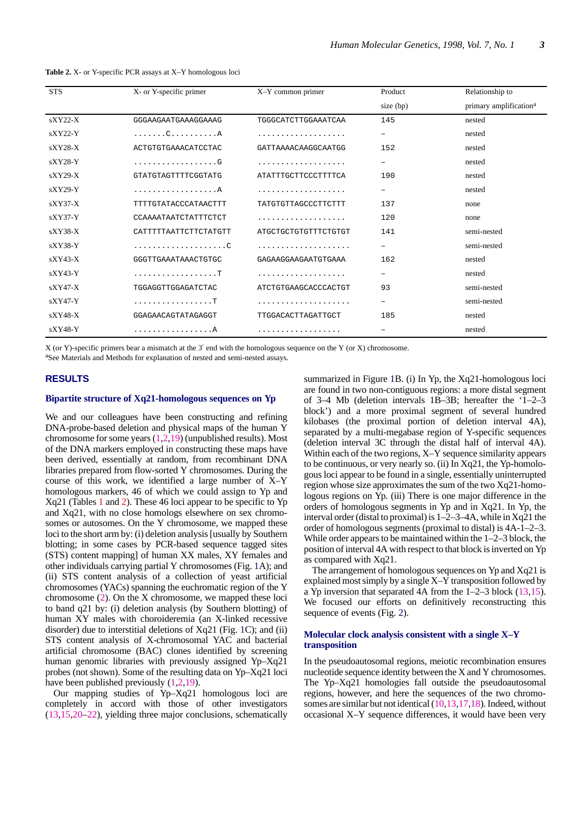| <b>Table 2.</b> X- or Y-specific PCR assays at X-Y homologous loci |  |
|--------------------------------------------------------------------|--|
|--------------------------------------------------------------------|--|

| <b>STS</b> | X- or Y-specific primer     | X-Y common primer    | Product           | Relationship to                    |
|------------|-----------------------------|----------------------|-------------------|------------------------------------|
|            |                             |                      | size (bp)         | primary amplification <sup>a</sup> |
| $sXY22-X$  | GGGAAGAATGAAAGGAAAG         | TGGGCATCTTGGAAATCAA  | 145               | nested                             |
| $sXYZ2-Y$  | . C A                       |                      | $\qquad \qquad -$ | nested                             |
| $sXYZ8-X$  | ACTGTGTGAAACATCCTAC         | GATTAAAACAAGGCAATGG  | 152               | nested                             |
| $sXY28-Y$  | . G                         | .                    | $\qquad \qquad -$ | nested                             |
| $sXY29-X$  | GTATGTAGTTTTCGGTATG         | ATATTTGCTTCCCTTTTCA  | 190               | nested                             |
| $sXY29-Y$  | . A                         | .                    | $\qquad \qquad -$ | nested                             |
| $sXY37-X$  | <b>TTTTGTATACCCATAACTTT</b> | TATGTGTTAGCCCTTCTTT  | 137               | none                               |
| $sXY37-Y$  | CCAAAATAATCTATTTCTCT        | .                    | 120               | none                               |
| $sXY38-X$  | CATTTTTAATTCTTCTATGTT       | ATGCTGCTGTGTTTCTGTGT | 141               | semi-nested                        |
| $sXY38-Y$  |                             | .                    | -                 | semi-nested                        |
| $sXY43-X$  | GGGTTGAAATAAACTGTGC         | GAGAAGGAAGAATGTGAAA  | 162               | nested                             |
| $sXY43-Y$  |                             |                      |                   | nested                             |
| $sXY47-X$  | TGGAGGTTGGAGATCTAC          | ATCTGTGAAGCACCCACTGT | 93                | semi-nested                        |
| $sXY47-Y$  | . T                         | .                    | -                 | semi-nested                        |
| $sXY48-X$  | GGAGAACAGTATAGAGGT          | TTGGACACTTAGATTGCT   | 185               | nested                             |
| $sXY48-Y$  | <u>. A</u>                  |                      |                   | nested                             |

X (or Y)-specific primers bear a mismatch at the 3′ end with the homologous sequence on the Y (or X) chromosome.

aSee Materials and Methods for explanation of nested and semi-nested assays.

## **RESULTS**

#### **Bipartite structure of Xq21-homologous sequences on Yp**

We and our colleagues have been constructing and refining DNA-probe-based deletion and physical maps of the human Y chromosome for some years  $(1,2,19)$  (unpublished results). Most of the DNA markers employed in constructing these maps have been derived, essentially at random, from recombinant DNA libraries prepared from flow-sorted Y chromosomes. During the course of this work, we identified a large number of X–Y homologous markers, 46 of which we could assign to Yp and Xq21 (Tables 1 and 2). These 46 loci appear to be specific to Yp and Xq21, with no close homologs elsewhere on sex chromosomes or autosomes. On the Y chromosome, we mapped these loci to the short arm by: (i) deletion analysis [usually by Southern blotting; in some cases by PCR-based sequence tagged sites (STS) content mapping] of human XX males, XY females and other individuals carrying partial Y chromosomes (Fig. 1A); and (ii) STS content analysis of a collection of yeast artificial chromosomes (YACs) spanning the euchromatic region of the Y chromosome (2). On the X chromosome, we mapped these loci to band q21 by: (i) deletion analysis (by Southern blotting) of human XY males with choroideremia (an X-linked recessive disorder) due to interstitial deletions of Xq21 (Fig. 1C); and (ii) STS content analysis of X-chromosomal YAC and bacterial artificial chromosome (BAC) clones identified by screening human genomic libraries with previously assigned Yp–Xq21 probes (not shown). Some of the resulting data on Yp–Xq21 loci have been published previously (1,2,19).

Our mapping studies of Yp–Xq21 homologous loci are completely in accord with those of other investigators (13,15,20–22), yielding three major conclusions, schematically summarized in Figure 1B. (i) In Yp, the Xq21-homologous loci are found in two non-contiguous regions: a more distal segment of 3–4 Mb (deletion intervals 1B–3B; hereafter the '1–2–3 block') and a more proximal segment of several hundred kilobases (the proximal portion of deletion interval 4A), separated by a multi-megabase region of Y-specific sequences (deletion interval 3C through the distal half of interval 4A). Within each of the two regions, X–Y sequence similarity appears to be continuous, or very nearly so. (ii) In Xq21, the Yp-homologous loci appear to be found in a single, essentially uninterrupted region whose size approximates the sum of the two Xq21-homologous regions on Yp. (iii) There is one major difference in the orders of homologous segments in Yp and in Xq21. In Yp, the interval order (distal to proximal) is 1–2–3–4A, while in Xq21 the order of homologous segments (proximal to distal) is 4A-1–2–3. While order appears to be maintained within the 1–2–3 block, the position of interval 4A with respect to that block is inverted on Yp as compared with Xq21.

The arrangement of homologous sequences on Yp and Xq21 is explained most simply by a single X–Y transposition followed by a Yp inversion that separated 4A from the  $1-2-3$  block  $(13,15)$ . We focused our efforts on definitively reconstructing this sequence of events (Fig. 2).

#### **Molecular clock analysis consistent with a single X–Y transposition**

In the pseudoautosomal regions, meiotic recombination ensures nucleotide sequence identity between the X and Y chromosomes. The Yp–Xq21 homologies fall outside the pseudoautosomal regions, however, and here the sequences of the two chromosomes are similar but not identical (10,13,17,18). Indeed, without occasional X–Y sequence differences, it would have been very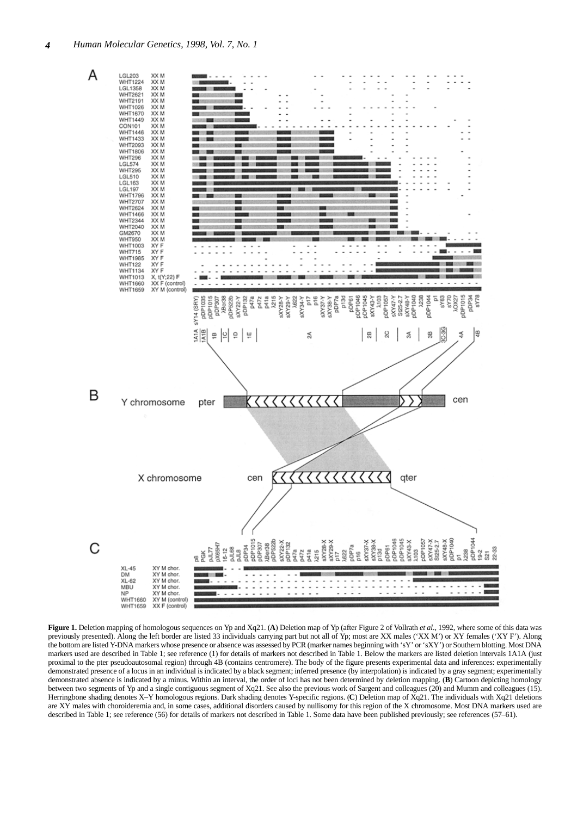

**Figure 1.** Deletion mapping of homologous sequences on Yp and Xq21. (**A**) Deletion map of Yp (after Figure 2 of Vollrath *et al*., 1992, where some of this data was previously presented). Along the left border are listed 33 individuals carrying part but not all of Yp; most are XX males ('XX M') or XY females ('XY F'). Along the bottom are listed Y-DNA markers whose presence or absence was assessed by PCR (marker names beginning with 'sY' or 'sXY') or Southern blotting. Most DNA markers used are described in Table 1; see reference (1) for details of markers not described in Table 1. Below the markers are listed deletion intervals 1A1A (just proximal to the pter pseudoautosomal region) through 4B (contains centromere). The body of the figure presents experimental data and inferences: experimentally demonstrated presence of a locus in an individual is indicated by a black segment; inferred presence (by interpolation) is indicated by a gray segment; experimentally demonstrated absence is indicated by a minus. Within an interval, the order of loci has not been determined by deletion mapping. (**B**) Cartoon depicting homology between two segments of Yp and a single contiguous segment of Xq21. See also the previous work of Sargent and colleagues (20) and Mumm and colleagues (15). Herringbone shading denotes X–Y homologous regions. Dark shading denotes Y-specific regions. (**C**) Deletion map of Xq21. The individuals with Xq21 deletions are XY males with choroideremia and, in some cases, additional disorders caused by nullisomy for this region of the X chromosome. Most DNA markers used are described in Table 1; see reference (56) for details of markers not described in Table 1. Some data have been published previously; see references (57–61).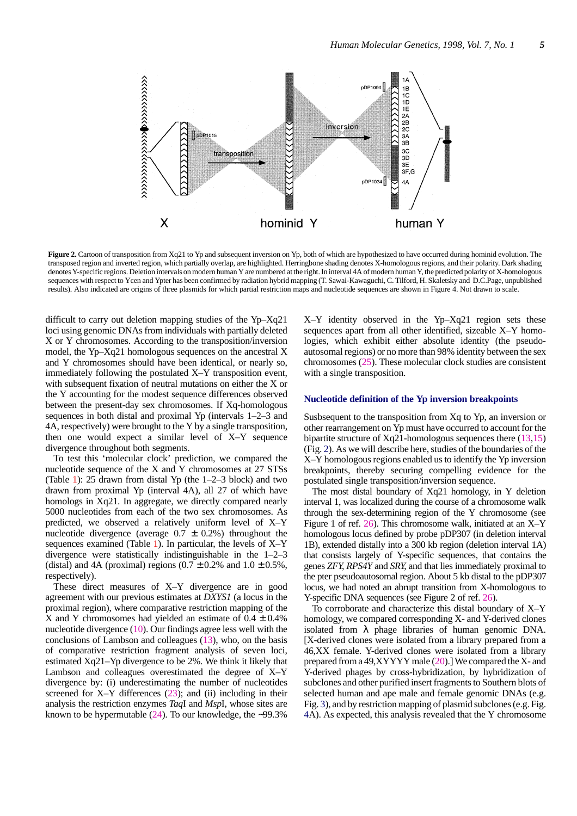

**Figure 2.** Cartoon of transposition from Xq21 to Yp and subsequent inversion on Yp, both of which are hypothesized to have occurred during hominid evolution. The transposed region and inverted region, which partially overlap, are highlighted. Herringbone shading denotes X-homologous regions, and their polarity. Dark shading denotes Y-specific regions. Deletion intervals on modern human Y are numbered at the right. In interval 4A of modern human Y, the predicted polarity of X-homologous sequences with respect to Ycen and Ypter has been confirmed by radiation hybrid mapping (T. Sawai-Kawaguchi, C. Tilford, H. Skaletsky and D.C.Page, unpublished results). Also indicated are origins of three plasmids for which partial restriction maps and nucleotide sequences are shown in Figure 4. Not drawn to scale.

difficult to carry out deletion mapping studies of the Yp–Xq21 loci using genomic DNAs from individuals with partially deleted X or Y chromosomes. According to the transposition/inversion model, the Yp–Xq21 homologous sequences on the ancestral X and Y chromosomes should have been identical, or nearly so, immediately following the postulated X–Y transposition event, with subsequent fixation of neutral mutations on either the X or the Y accounting for the modest sequence differences observed between the present-day sex chromosomes. If Xq-homologous sequences in both distal and proximal Yp (intervals 1–2–3 and 4A, respectively) were brought to the Y by a single transposition, then one would expect a similar level of X–Y sequence divergence throughout both segments.

To test this 'molecular clock' prediction, we compared the nucleotide sequence of the X and Y chromosomes at 27 STSs (Table 1): 25 drawn from distal Yp (the 1–2–3 block) and two drawn from proximal Yp (interval 4A), all 27 of which have homologs in Xq21. In aggregate, we directly compared nearly 5000 nucleotides from each of the two sex chromosomes. As predicted, we observed a relatively uniform level of X–Y nucleotide divergence (average  $0.7 \pm 0.2\%$ ) throughout the sequences examined (Table 1). In particular, the levels of X–Y divergence were statistically indistinguishable in the 1–2–3 (distal) and 4A (proximal) regions  $(0.7 \pm 0.2\%$  and  $1.0 \pm 0.5\%$ , respectively).

These direct measures of X–Y divergence are in good agreement with our previous estimates at *DXYS1* (a locus in the proximal region), where comparative restriction mapping of the X and Y chromosomes had yielded an estimate of  $0.4 \pm 0.4\%$ nucleotide divergence (10). Our findings agree less well with the conclusions of Lambson and colleagues (13), who, on the basis of comparative restriction fragment analysis of seven loci, estimated Xq21–Yp divergence to be 2%. We think it likely that Lambson and colleagues overestimated the degree of X–Y divergence by: (i) underestimating the number of nucleotides screened for  $X-Y$  differences  $(23)$ ; and (ii) including in their analysis the restriction enzymes *Taq*I and *Msp*I, whose sites are known to be hypermutable (24). To our knowledge, the ∼99.3%

X–Y identity observed in the Yp–Xq21 region sets these sequences apart from all other identified, sizeable X–Y homologies, which exhibit either absolute identity (the pseudoautosomal regions) or no more than 98% identity between the sex chromosomes (25). These molecular clock studies are consistent with a single transposition.

#### **Nucleotide definition of the Yp inversion breakpoints**

Susbsequent to the transposition from Xq to Yp, an inversion or other rearrangement on Yp must have occurred to account for the bipartite structure of Xq21-homologous sequences there (13,15) (Fig. 2). As we will describe here, studies of the boundaries of the X–Y homologous regions enabled us to identify the Yp inversion breakpoints, thereby securing compelling evidence for the postulated single transposition/inversion sequence.

The most distal boundary of Xq21 homology, in Y deletion interval 1, was localized during the course of a chromosome walk through the sex-determining region of the Y chromosome (see Figure 1 of ref. 26). This chromosome walk, initiated at an X–Y homologous locus defined by probe pDP307 (in deletion interval 1B), extended distally into a 300 kb region (deletion interval 1A) that consists largely of Y-specific sequences, that contains the genes *ZFY*, *RPS4Y* and *SRY*, and that lies immediately proximal to the pter pseudoautosomal region. About 5 kb distal to the pDP307 locus, we had noted an abrupt transition from X-homologous to Y-specific DNA sequences (see Figure 2 of ref. 26).

To corroborate and characterize this distal boundary of X–Y homology, we compared corresponding X- and Y-derived clones isolated from  $\lambda$  phage libraries of human genomic DNA. [X-derived clones were isolated from a library prepared from a 46,XX female. Y-derived clones were isolated from a library prepared from a 49,XYYYY male (20).] We compared the X- and Y-derived phages by cross-hybridization, by hybridization of subclones and other purified insert fragments to Southern blots of selected human and ape male and female genomic DNAs (e.g. Fig. 3), and by restriction mapping of plasmid subclones (e.g. Fig. 4A). As expected, this analysis revealed that the Y chromosome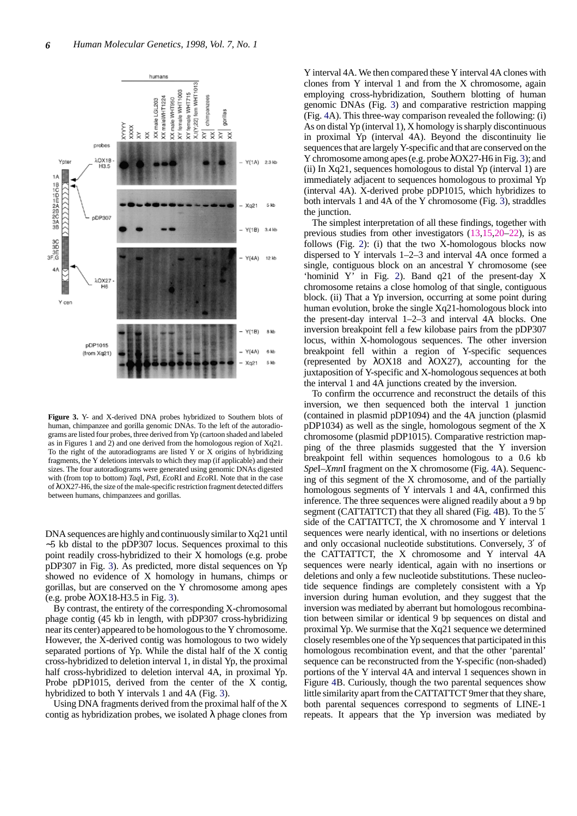

**Figure 3.** Y- and X-derived DNA probes hybridized to Southern blots of human, chimpanzee and gorilla genomic DNAs. To the left of the autoradiograms are listed four probes, three derived from Yp (cartoon shaded and labeled as in Figures 1 and 2) and one derived from the homologous region of Xq21. To the right of the autoradiograms are listed Y or X origins of hybridizing fragments, the Y deletions intervals to which they map (if applicable) and their sizes. The four autoradiograms were generated using genomic DNAs digested with (from top to bottom) *Taq*I, *Pst*I, *Eco*RI and *Eco*RI. Note that in the case of λOX27-H6, the size of the male-specific restriction fragment detected differs between humans, chimpanzees and gorillas.

DNA sequences are highly and continuously similar to Xq21 until ∼5 kb distal to the pDP307 locus. Sequences proximal to this point readily cross-hybridized to their X homologs (e.g. probe pDP307 in Fig. 3). As predicted, more distal sequences on Yp showed no evidence of X homology in humans, chimps or gorillas, but are conserved on the Y chromosome among apes (e.g. probe λOX18-H3.5 in Fig. 3).

By contrast, the entirety of the corresponding X-chromosomal phage contig (45 kb in length, with pDP307 cross-hybridizing near its center) appeared to be homologous to the Y chromosome. However, the X-derived contig was homologous to two widely separated portions of Yp. While the distal half of the X contig cross-hybridized to deletion interval 1, in distal Yp, the proximal half cross-hybridized to deletion interval 4A, in proximal Yp. Probe pDP1015, derived from the center of the X contig, hybridized to both Y intervals 1 and 4A (Fig. 3).

Using DNA fragments derived from the proximal half of the X contig as hybridization probes, we isolated  $\lambda$  phage clones from

Y interval 4A. We then compared these Y interval 4A clones with clones from Y interval 1 and from the X chromosome, again employing cross-hybridization, Southern blotting of human genomic DNAs (Fig. 3) and comparative restriction mapping (Fig. 4A). This three-way comparison revealed the following: (i) As on distal Yp (interval 1), X homology is sharply discontinuous in proximal Yp (interval 4A). Beyond the discontinuity lie sequences that are largely Y-specific and that are conserved on the Y chromosome among apes (e.g. probe λOX27-H6 in Fig. 3); and (ii) In Xq21, sequences homologous to distal Yp (interval 1) are immediately adjacent to sequences homologous to proximal Yp (interval 4A). X-derived probe pDP1015, which hybridizes to both intervals 1 and 4A of the Y chromosome (Fig. 3), straddles the junction.

The simplest interpretation of all these findings, together with previous studies from other investigators (13,15,20–22), is as follows (Fig. 2): (i) that the two X-homologous blocks now dispersed to Y intervals 1–2–3 and interval 4A once formed a single, contiguous block on an ancestral Y chromosome (see 'hominid Y' in Fig. 2). Band q21 of the present-day X chromosome retains a close homolog of that single, contiguous block. (ii) That a Yp inversion, occurring at some point during human evolution, broke the single Xq21-homologous block into the present-day interval 1–2–3 and interval 4A blocks. One inversion breakpoint fell a few kilobase pairs from the pDP307 locus, within X-homologous sequences. The other inversion breakpoint fell within a region of Y-specific sequences (represented by λOX18 and λOX27), accounting for the juxtaposition of Y-specific and X-homologous sequences at both the interval 1 and 4A junctions created by the inversion.

To confirm the occurrence and reconstruct the details of this inversion, we then sequenced both the interval 1 junction (contained in plasmid pDP1094) and the 4A junction (plasmid pDP1034) as well as the single, homologous segment of the X chromosome (plasmid pDP1015). Comparative restriction mapping of the three plasmids suggested that the Y inversion breakpoint fell within sequences homologous to a 0.6 kb *Spe*I–*Xmn*I fragment on the X chromosome (Fig. 4A). Sequencing of this segment of the X chromosome, and of the partially homologous segments of Y intervals 1 and 4A, confirmed this inference. The three sequences were aligned readily about a 9 bp segment (CATTATTCT) that they all shared (Fig. 4B). To the 5<sup>'</sup> side of the CATTATTCT, the X chromosome and Y interval 1 sequences were nearly identical, with no insertions or deletions and only occasional nucleotide substitutions. Conversely, 3′ of the CATTATTCT, the X chromosome and Y interval 4A sequences were nearly identical, again with no insertions or deletions and only a few nucleotide substitutions. These nucleotide sequence findings are completely consistent with a Yp inversion during human evolution, and they suggest that the inversion was mediated by aberrant but homologous recombination between similar or identical 9 bp sequences on distal and proximal Yp. We surmise that the Xq21 sequence we determined closely resembles one of the Yp sequences that participated in this homologous recombination event, and that the other 'parental' sequence can be reconstructed from the Y-specific (non-shaded) portions of the Y interval 4A and interval 1 sequences shown in Figure 4B. Curiously, though the two parental sequences show little similarity apart from the CATTATTCT 9mer that they share, both parental sequences correspond to segments of LINE-1 repeats. It appears that the Yp inversion was mediated by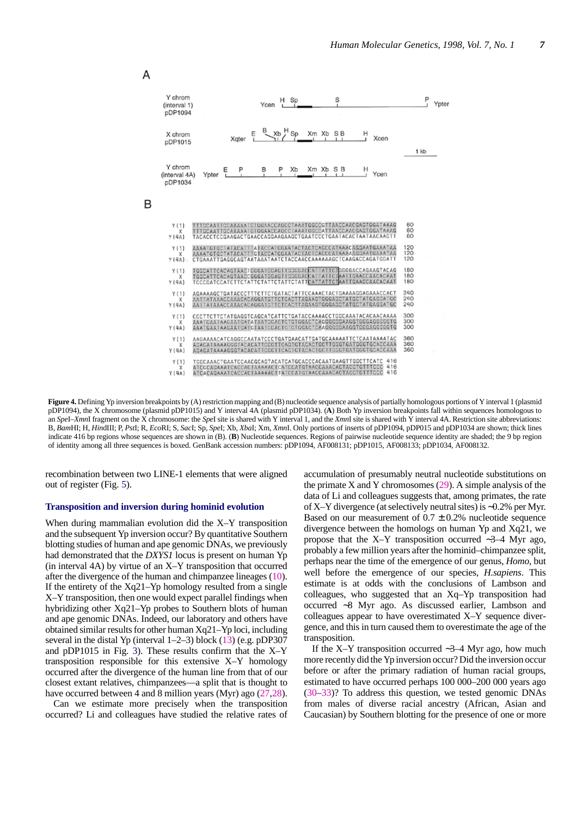

**Figure 4.** Defining Yp inversion breakpoints by (A) restriction mapping and (B) nucleotide sequence analysis of partially homologous portions of Y interval 1 (plasmid pDP1094), the X chromosome (plasmid pDP1015) and Y interval 4A (plasmid pDP1034). (**A**) Both Yp inversion breakpoints fall within sequences homologous to an *Spe*I–*Xmn*I fragment on the X chromosome: the *Spe*I site is shared with Y interval 1, and the *Xmn*I site is shared with Y interval 4A. Restriction site abbreviations: B, *Bam*HI; H, *Hin*dIII; P, *Pst*I; R, *Eco*RI; S, *Sac*I; Sp, *Spe*I; Xb, *Xba*I; Xm, *Xmn*I. Only portions of inserts of pDP1094, pDP015 and pDP1034 are shown; thick lines indicate 416 bp regions whose sequences are shown in (B). (**B**) Nucleotide sequences. Regions of pairwise nucleotide sequence identity are shaded; the 9 bp region of identity among all three sequences is boxed. GenBank accession numbers: pDP1094, AF008131; pDP1015, AF008133; pDP1034, AF008132.

recombination between two LINE-1 elements that were aligned out of register (Fig. 5).

#### **Transposition and inversion during hominid evolution**

When during mammalian evolution did the X–Y transposition and the subsequent Yp inversion occur? By quantitative Southern blotting studies of human and ape genomic DNAs, we previously had demonstrated that the *DXYS1* locus is present on human Yp (in interval 4A) by virtue of an X–Y transposition that occurred after the divergence of the human and chimpanzee lineages (10). If the entirety of the Xq21–Yp homology resulted from a single X–Y transposition, then one would expect parallel findings when hybridizing other Xq21–Yp probes to Southern blots of human and ape genomic DNAs. Indeed, our laboratory and others have obtained similar results for other human Xq21–Yp loci, including several in the distal Yp (interval 1–2–3) block (13) (e.g. pDP307 and pDP1015 in Fig. 3). These results confirm that the X–Y transposition responsible for this extensive X–Y homology occurred after the divergence of the human line from that of our closest extant relatives, chimpanzees—a split that is thought to have occurred between 4 and 8 million years (Myr) ago (27,28).

Can we estimate more precisely when the transposition occurred? Li and colleagues have studied the relative rates of

accumulation of presumably neutral nucleotide substitutions on the primate  $X$  and  $Y$  chromosomes (29). A simple analysis of the data of Li and colleagues suggests that, among primates, the rate of X–Y divergence (at selectively neutral sites) is ∼0.2% per Myr. Based on our measurement of  $0.7 \pm 0.2$ % nucleotide sequence divergence between the homologs on human Yp and Xq21, we propose that the X–Y transposition occurred ∼3–4 Myr ago, probably a few million years after the hominid–chimpanzee split, perhaps near the time of the emergence of our genus, *Homo*, but well before the emergence of our species, *H.sapiens*. This estimate is at odds with the conclusions of Lambson and colleagues, who suggested that an Xq–Yp transposition had occurred ∼8 Myr ago. As discussed earlier, Lambson and colleagues appear to have overestimated X–Y sequence divergence, and this in turn caused them to overestimate the age of the transposition.

If the X–Y transposition occurred ∼3–4 Myr ago, how much more recently did the Yp inversion occur? Did the inversion occur before or after the primary radiation of human racial groups, estimated to have occurred perhaps 100 000–200 000 years ago (30–33)? To address this question, we tested genomic DNAs from males of diverse racial ancestry (African, Asian and Caucasian) by Southern blotting for the presence of one or more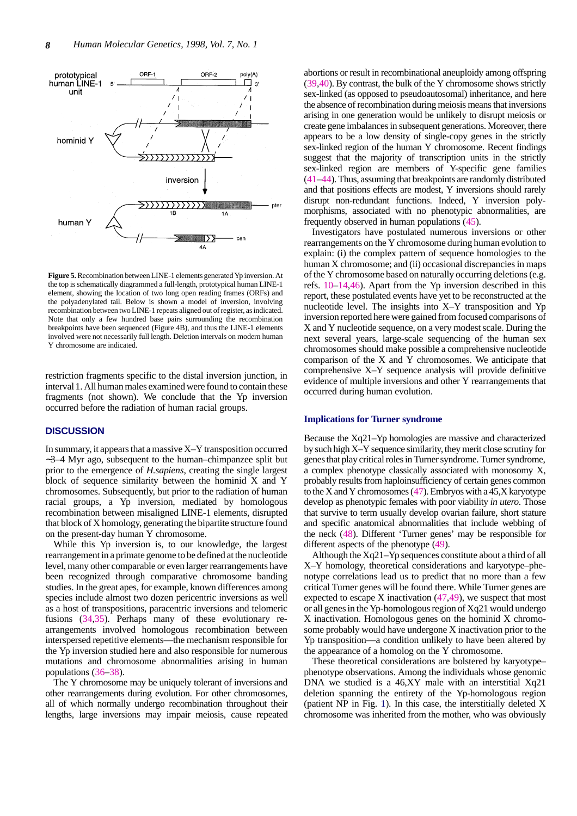

**Figure 5.** Recombination between LINE-1 elements generated Yp inversion. At the top is schematically diagrammed a full-length, prototypical human LINE-1 element, showing the location of two long open reading frames (ORFs) and the polyadenylated tail. Below is shown a model of inversion, involving recombination between two LINE-1 repeats aligned out of register, as indicated. Note that only a few hundred base pairs surrounding the recombination breakpoints have been sequenced (Figure 4B), and thus the LINE-1 elements involved were not necessarily full length. Deletion intervals on modern human Y chromosome are indicated.

restriction fragments specific to the distal inversion junction, in interval 1. All human males examined were found to contain these fragments (not shown). We conclude that the Yp inversion occurred before the radiation of human racial groups.

### **DISCUSSION**

In summary, it appears that a massive X–Y transposition occurred ∼3–4 Myr ago, subsequent to the human–chimpanzee split but prior to the emergence of *H.sapiens*, creating the single largest block of sequence similarity between the hominid X and Y chromosomes. Subsequently, but prior to the radiation of human racial groups, a Yp inversion, mediated by homologous recombination between misaligned LINE-1 elements, disrupted that block of X homology, generating the bipartite structure found on the present-day human Y chromosome.

While this Yp inversion is, to our knowledge, the largest rearrangement in a primate genome to be defined at the nucleotide level, many other comparable or even larger rearrangements have been recognized through comparative chromosome banding studies. In the great apes, for example, known differences among species include almost two dozen pericentric inversions as well as a host of transpositions, paracentric inversions and telomeric fusions (34,35). Perhaps many of these evolutionary rearrangements involved homologous recombination between interspersed repetitive elements—the mechanism responsible for the Yp inversion studied here and also responsible for numerous mutations and chromosome abnormalities arising in human populations (36–38).

The Y chromosome may be uniquely tolerant of inversions and other rearrangements during evolution. For other chromosomes, all of which normally undergo recombination throughout their lengths, large inversions may impair meiosis, cause repeated abortions or result in recombinational aneuploidy among offspring (39,40). By contrast, the bulk of the Y chromosome shows strictly sex-linked (as opposed to pseudoautosomal) inheritance, and here the absence of recombination during meiosis means that inversions arising in one generation would be unlikely to disrupt meiosis or create gene imbalances in subsequent generations. Moreover, there appears to be a low density of single-copy genes in the strictly sex-linked region of the human Y chromosome. Recent findings suggest that the majority of transcription units in the strictly sex-linked region are members of Y-specific gene families (41–44). Thus, assuming that breakpoints are randomly distributed and that positions effects are modest, Y inversions should rarely disrupt non-redundant functions. Indeed, Y inversion polymorphisms, associated with no phenotypic abnormalities, are frequently observed in human populations (45).

Investigators have postulated numerous inversions or other rearrangements on the Y chromosome during human evolution to explain: (i) the complex pattern of sequence homologies to the human X chromosome; and (ii) occasional discrepancies in maps of the Y chromosome based on naturally occurring deletions (e.g. refs. 10–14,46). Apart from the Yp inversion described in this report, these postulated events have yet to be reconstructed at the nucleotide level. The insights into X–Y transposition and Yp inversion reported here were gained from focused comparisons of X and Y nucleotide sequence, on a very modest scale. During the next several years, large-scale sequencing of the human sex chromosomes should make possible a comprehensive nucleotide comparison of the X and Y chromosomes. We anticipate that comprehensive X–Y sequence analysis will provide definitive evidence of multiple inversions and other Y rearrangements that occurred during human evolution.

#### **Implications for Turner syndrome**

Because the Xq21–Yp homologies are massive and characterized by such high X–Y sequence similarity, they merit close scrutiny for genes that play critical roles in Turner syndrome. Turner syndrome, a complex phenotype classically associated with monosomy X, probably results from haploinsufficiency of certain genes common to the X and Y chromosomes (47). Embryos with a 45,X karyotype develop as phenotypic females with poor viability *in utero*. Those that survive to term usually develop ovarian failure, short stature and specific anatomical abnormalities that include webbing of the neck (48). Different 'Turner genes' may be responsible for different aspects of the phenotype (49).

Although the Xq21–Yp sequences constitute about a third of all X–Y homology, theoretical considerations and karyotype–phenotype correlations lead us to predict that no more than a few critical Turner genes will be found there. While Turner genes are expected to escape  $X$  inactivation  $(47, 49)$ , we suspect that most or all genes in the Yp-homologous region of Xq21 would undergo X inactivation. Homologous genes on the hominid X chromosome probably would have undergone X inactivation prior to the Yp transposition—a condition unlikely to have been altered by the appearance of a homolog on the Y chromosome.

These theoretical considerations are bolstered by karyotype– phenotype observations. Among the individuals whose genomic DNA we studied is a 46,XY male with an interstitial Xq21 deletion spanning the entirety of the Yp-homologous region (patient NP in Fig. 1). In this case, the interstitially deleted X chromosome was inherited from the mother, who was obviously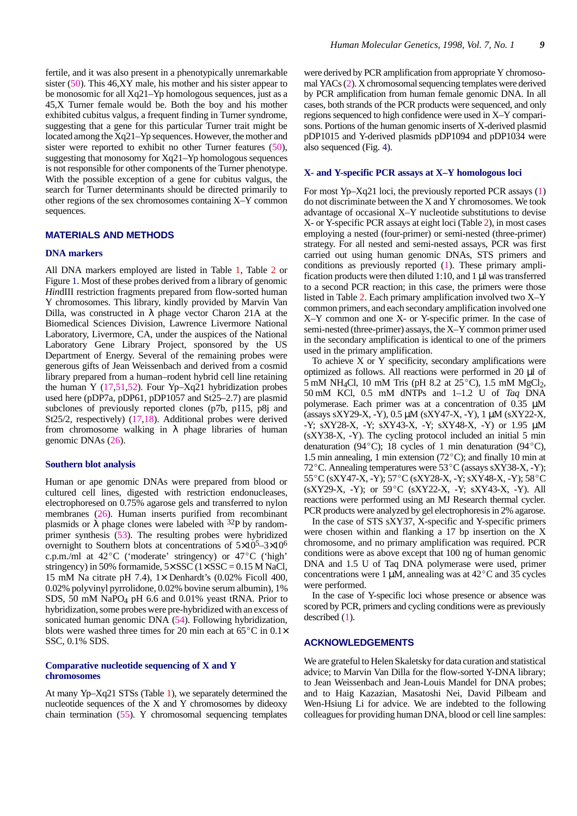fertile, and it was also present in a phenotypically unremarkable sister (50). This 46,XY male, his mother and his sister appear to be monosomic for all Xq21–Yp homologous sequences, just as a 45,X Turner female would be. Both the boy and his mother exhibited cubitus valgus, a frequent finding in Turner syndrome, suggesting that a gene for this particular Turner trait might be located among the Xq21–Yp sequences. However, the mother and sister were reported to exhibit no other Turner features (50), suggesting that monosomy for Xq21–Yp homologous sequences is not responsible for other components of the Turner phenotype. With the possible exception of a gene for cubitus valgus, the search for Turner determinants should be directed primarily to other regions of the sex chromosomes containing X–Y common sequences.

#### **MATERIALS AND METHODS**

#### **DNA markers**

All DNA markers employed are listed in Table 1, Table 2 or Figure 1. Most of these probes derived from a library of genomic *Hin*dIII restriction fragments prepared from flow-sorted human Y chromosomes. This library, kindly provided by Marvin Van Dilla, was constructed in  $\lambda$  phage vector Charon 21A at the Biomedical Sciences Division, Lawrence Livermore National Laboratory, Livermore, CA, under the auspices of the National Laboratory Gene Library Project, sponsored by the US Department of Energy. Several of the remaining probes were generous gifts of Jean Weissenbach and derived from a cosmid library prepared from a human–rodent hybrid cell line retaining the human Y (17,51,52). Four Yp–Xq21 hybridization probes used here (pDP7a, pDP61, pDP1057 and St25–2.7) are plasmid subclones of previously reported clones (p7b, p115, p8j and St25/2, respectively) (17,18). Additional probes were derived from chromosome walking in  $\lambda$  phage libraries of human genomic DNAs (26).

#### **Southern blot analysis**

Human or ape genomic DNAs were prepared from blood or cultured cell lines, digested with restriction endonucleases, electrophoresed on 0.75% agarose gels and transferred to nylon membranes (26). Human inserts purified from recombinant plasmids or  $\lambda$  phage clones were labeled with <sup>32</sup>P by randomprimer synthesis (53). The resulting probes were hybridized principly symmetric symmetric symmetric symmetric symmetric overright to Southern blots at concentrations of  $5\times10^5-3\times10^6$ <br>c.p.m./ml at 42<sup>o</sup>C ('moderate' stringency) or 47<sup>o</sup>C ('high' stringency) in 50% formamide,  $5 \times SSC$  ( $1 \times SSC = 0.15$  M NaCl, 15 mM Na citrate pH 7.4), 1× Denhardt's (0.02% Ficoll 400, 0.02% polyvinyl pyrrolidone, 0.02% bovine serum albumin), 1% SDS, 50 mM NaPO4 pH 6.6 and 0.01% yeast tRNA. Prior to hybridization, some probes were pre-hybridized with an excess of sonicated human genomic DNA (54). Following hybridization, blots were washed three times for 20 min each at  $65^{\circ}$ C in  $0.1\times$ SSC, 0.1% SDS.

#### **Comparative nucleotide sequencing of X and Y chromosomes**

At many Yp–Xq21 STSs (Table 1), we separately determined the nucleotide sequences of the X and Y chromosomes by dideoxy chain termination (55). Y chromosomal sequencing templates

were derived by PCR amplification from appropriate Y chromosomal YACs (2). X chromosomal sequencing templates were derived by PCR amplification from human female genomic DNA. In all cases, both strands of the PCR products were sequenced, and only regions sequenced to high confidence were used in X–Y comparisons. Portions of the human genomic inserts of X-derived plasmid pDP1015 and Y-derived plasmids pDP1094 and pDP1034 were also sequenced (Fig. 4).

#### **X- and Y-specific PCR assays at X–Y homologous loci**

For most Yp–Xq21 loci, the previously reported PCR assays (1) do not discriminate between the X and Y chromosomes. We took advantage of occasional X–Y nucleotide substitutions to devise X- or Y-specific PCR assays at eight loci (Table 2), in most cases employing a nested (four-primer) or semi-nested (three-primer) strategy. For all nested and semi-nested assays, PCR was first carried out using human genomic DNAs, STS primers and conditions as previously reported (1). These primary amplification products were then diluted 1:10, and 1  $\mu$ I was transferred to a second PCR reaction; in this case, the primers were those listed in Table 2. Each primary amplification involved two X–Y common primers, and each secondary amplification involved one X–Y common and one X- or Y-specific primer. In the case of semi-nested (three-primer) assays, the X–Y common primer used in the secondary amplification is identical to one of the primers used in the primary amplification.

To achieve X or Y specificity, secondary amplifications were optimized as follows. All reactions were performed in 20 µl of 5 mM NH<sub>4</sub>Cl, 10 mM Tris (pH 8.2 at  $25^{\circ}$ C), 1.5 mM MgCl<sub>2</sub>, 50 mM KCl, 0.5 mM dNTPs and 1–1.2 U of *Taq* DNA polymerase. Each primer was at a concentration of 0.35 µM (assays sXY29-X, -Y), 0.5 µM (sXY47-X, -Y), 1 µM (sXY22-X, -Y; sXY28-X, -Y; sXY43-X, -Y; sXY48-X, -Y) or 1.95 µM (sXY38-X, -Y). The cycling protocol included an initial 5 min denaturation (94 °C); 18 cycles of 1 min denaturation (94 °C),  $(32.138 \text{ m})$  denaturation (94 °C); 18 cycles of 1 min denaturation (94 °C), 1.5 min annealing, 1 min extension (72 °C); and finally 10 min at 1.5 min annealing, 1 min extension (72 °C); and finally 10 min at 72 °C. Annealing temperatures were  $53^{\circ}$ C (assays sXY38-X, -Y); 72 $\rm{^{\circ}C}$ . Annealing temperatures were 53 $\rm{^{\circ}C}$  (assays sXY38-X, -Y); 55°C (sXY47-X, -Y); 57°C (sXY28-X, -Y; sXY48-X, -Y); 58°C (sXY29-X, -Y); or 59°C (sXY22-X, -Y; sXY43-X, -Y). All reactions were performed using an MJ Research thermal cycler. PCR products were analyzed by gel electrophoresis in 2% agarose.

In the case of STS sXY37, X-specific and Y-specific primers were chosen within and flanking a 17 bp insertion on the X chromosome, and no primary amplification was required. PCR conditions were as above except that 100 ng of human genomic DNA and 1.5 U of Taq DNA polymerase were used, primer concentrations were  $1 \mu$ M, annealing was at  $42^{\circ}$ C and 35 cycles were performed.

In the case of Y-specific loci whose presence or absence was scored by PCR, primers and cycling conditions were as previously described (1).

## **ACKNOWLEDGEMENTS**

We are grateful to Helen Skaletsky for data curation and statistical advice; to Marvin Van Dilla for the flow-sorted Y-DNA library; to Jean Weissenbach and Jean-Louis Mandel for DNA probes; and to Haig Kazazian, Masatoshi Nei, David Pilbeam and Wen-Hsiung Li for advice. We are indebted to the following colleagues for providing human DNA, blood or cell line samples: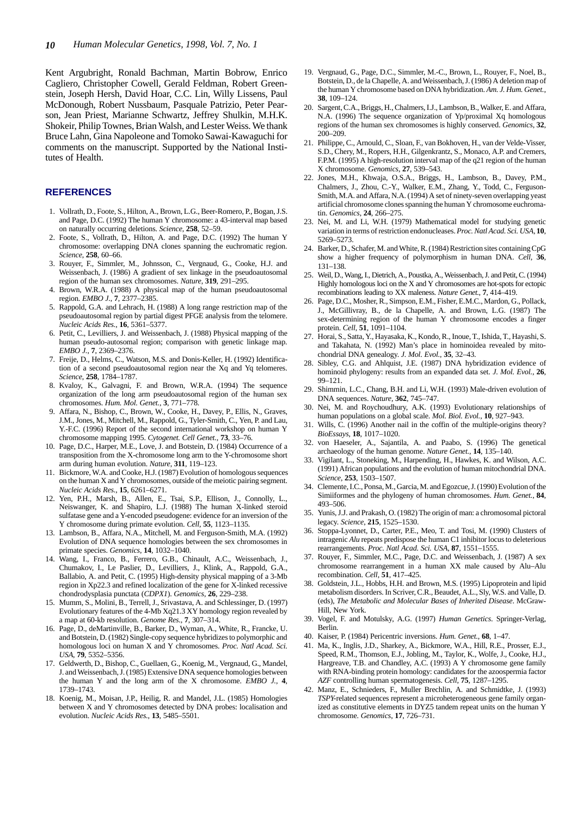Kent Argubright, Ronald Bachman, Martin Bobrow, Enrico Cagliero, Christopher Cowell, Gerald Feldman, Robert Greenstein, Joseph Hersh, David Hoar, C.C. Lin, Willy Lissens, Paul McDonough, Robert Nussbaum, Pasquale Patrizio, Peter Pearson, Jean Priest, Marianne Schwartz, Jeffrey Shulkin, M.H.K. Shokeir, Philip Townes, Brian Walsh, and Lester Weiss. We thank Bruce Lahn, Gina Napoleone and Tomoko Sawai-Kawaguchi for comments on the manuscript. Supported by the National Institutes of Health.

#### **REFERENCES**

- 1. Vollrath, D., Foote, S., Hilton, A., Brown, L.G., Beer-Romero, P., Bogan, J.S. and Page, D.C. (1992) The human Y chromosome: a 43-interval map based on naturally occurring deletions. *Science*, **258**, 52–59.
- 2. Foote, S., Vollrath, D., Hilton, A. and Page, D.C. (1992) The human Y chromosome: overlapping DNA clones spanning the euchromatic region. *Science*, **258**, 60–66.
- 3. Rouyer, F., Simmler, M., Johnsson, C., Vergnaud, G., Cooke, H.J. and Weissenbach, J. (1986) A gradient of sex linkage in the pseudoautosomal region of the human sex chromosomes. *Nature*, **319**, 291–295.
- 4. Brown, W.R.A. (1988) A physical map of the human pseudoautosomal region. *EMBO J.*, **7**, 2377–2385.
- 5. Rappold, G.A. and Lehrach, H. (1988) A long range restriction map of the pseudoautosomal region by partial digest PFGE analysis from the telomere. *Nucleic Acids Res.*, **16**, 5361–5377.
- 6. Petit, C., Levilliers, J. and Weissenbach, J. (1988) Physical mapping of the human pseudo-autosomal region; comparison with genetic linkage map. *EMBO J.*, **7**, 2369–2376.
- 7. Freije, D., Helms, C., Watson, M.S. and Donis-Keller, H. (1992) Identification of a second pseudoautosomal region near the Xq and Yq telomeres. *Science*, **258**, 1784–1787.
- 8. Kvaloy, K., Galvagni, F. and Brown, W.R.A. (1994) The sequence organization of the long arm pseudoautosomal region of the human sex chromosomes. *Hum. Mol. Genet.*, **3**, 771–778.
- Affara, N., Bishop, C., Brown, W., Cooke, H., Davey, P., Ellis, N., Graves, J.M., Jones, M., Mitchell, M., Rappold, G., Tyler-Smith, C., Yen, P. and Lau, Y.-F.C. (1996) Report of the second international workshop on human Y chromosome mapping 1995. *Cytogenet. Cell Genet.*, **73**, 33–76.
- 10. Page, D.C., Harper, M.E., Love, J. and Botstein, D. (1984) Occurrence of a transposition from the X-chromosome long arm to the Y-chromosome short arm during human evolution. *Nature*, **311**, 119–123.
- 11. Bickmore, W.A. and Cooke, H.J. (1987) Evolution of homologous sequences on the human X and Y chromosomes, outside of the meiotic pairing segment. *Nucleic Acids Res.*, **15**, 6261–6271.
- 12. Yen, P.H., Marsh, B., Allen, E., Tsai, S.P., Ellison, J., Connolly, L., Neiswanger, K. and Shapiro, L.J. (1988) The human X-linked steroid sulfatase gene and a Y-encoded pseudogene: evidence for an inversion of the Y chromosome during primate evolution. *Cell*, **55**, 1123–1135.
- 13. Lambson, B., Affara, N.A., Mitchell, M. and Ferguson-Smith, M.A. (1992) Evolution of DNA sequence homologies between the sex chromosomes in primate species. *Genomics*, **14**, 1032–1040.
- 14. Wang, I., Franco, B., Ferrero, G.B., Chinault, A.C., Weissenbach, J., Chumakov, I., Le Paslier, D., Levilliers, J., Klink, A., Rappold, G.A., Ballabio, A. and Petit, C. (1995) High-density physical mapping of a 3-Mb region in Xp22.3 and refined localization of the gene for X-linked recessive chondrodysplasia punctata (*CDPX1*). *Genomics*, **26**, 229–238.
- 15. Mumm, S., Molini, B., Terrell, J., Srivastava, A. and Schlessinger, D. (1997) Evolutionary features of the 4-Mb Xq21.3 XY homology region revealed by a map at 60-kb resolution. *Genome Res.*, **7**, 307–314.
- 16. Page, D., deMartinville, B., Barker, D., Wyman, A., White, R., Francke, U. and Botstein, D. (1982) Single-copy sequence hybridizes to polymorphic and homologous loci on human X and Y chromosomes. *Proc. Natl Acad. Sci. USA*, **79**, 5352–5356.
- 17. Geldwerth, D., Bishop, C., Guellaen, G., Koenig, M., Vergnaud, G., Mandel, J. and Weissenbach, J. (1985) Extensive DNA sequence homologies between the human Y and the long arm of the X chromosome. *EMBO J.*, **4**, 1739–1743.
- 18. Koenig, M., Moisan, J.P., Heilig, R. and Mandel, J.L. (1985) Homologies between X and Y chromosomes detected by DNA probes: localisation and evolution. *Nucleic Acids Res.*, **13**, 5485–5501.
- 19. Vergnaud, G., Page, D.C., Simmler, M.-C., Brown, L., Rouyer, F., Noel, B., Botstein, D., de la Chapelle, A. and Weissenbach, J. (1986) A deletion map of the human Y chromosome based on DNA hybridization. *Am. J. Hum. Genet.*, **38**, 109–124.
- 20. Sargent, C.A., Briggs, H., Chalmers, I.J., Lambson, B., Walker, E. and Affara, N.A. (1996) The sequence organization of Yp/proximal Xq homologous regions of the human sex chromosomes is highly conserved. *Genomics*, **32**, 200–209.
- 21. Philippe, C., Arnould, C., Sloan, F., van Bokhoven, H., van der Velde-Visser, S.D., Chery, M., Ropers, H.H., Gilgenkrantz, S., Monaco, A.P. and Cremers, F.P.M. (1995) A high-resolution interval map of the q21 region of the human X chromosome. *Genomics*, **27**, 539–543.
- 22. Jones, M.H., Khwaja, O.S.A., Briggs, H., Lambson, B., Davey, P.M., Chalmers, J., Zhou, C.-Y., Walker, E.M., Zhang, Y., Todd, C., Ferguson-Smith, M.A. and Affara, N.A. (1994) A set of ninety-seven overlapping yeast artificial chromosome clones spanning the human Y chromosome euchromatin. *Genomics*, **24**, 266–275.
- 23. Nei, M. and Li, W.H. (1979) Mathematical model for studying genetic variation in terms of restriction endonucleases. *Proc. Natl Acad. Sci. USA*, **10**, 5269–5273.
- 24. Barker, D., Schafer, M. and White, R. (1984) Restriction sites containing CpG show a higher frequency of polymorphism in human DNA. *Cell*, **36**, 131–138.
- 25. Weil, D., Wang, I., Dietrich, A., Poustka, A., Weissenbach, J. and Petit, C. (1994) Highly homologous loci on the X and Y chromosomes are hot-spots for ectopic recombinations leading to XX maleness. *Nature Genet.*, **7**, 414–419.
- 26. Page, D.C., Mosher, R., Simpson, E.M., Fisher, E.M.C., Mardon, G., Pollack, J., McGillivray, B., de la Chapelle, A. and Brown, L.G. (1987) The sex-determining region of the human Y chromosome encodes a finger protein. *Cell*, **51**, 1091–1104.
- 27. Horai, S., Satta, Y., Hayasaka, K., Kondo, R., Inoue, T., Ishida, T., Hayashi, S. and Takahata, N. (1992) Man's place in hominoidea revealed by mitochondrial DNA genealogy. *J. Mol. Evol.*, **35**, 32–43.
- 28. Sibley, C.G. and Ahlquist, J.E. (1987) DNA hybridization evidence of hominoid phylogeny: results from an expanded data set. *J. Mol. Evol.*, **26**, 99–121.
- 29. Shimmin, L.C., Chang, B.H. and Li, W.H. (1993) Male-driven evolution of DNA sequences. *Nature*, **362**, 745–747.
- Nei, M. and Roychoudhury, A.K. (1993) Evolutionary relationships of human populations on a global scale. *Mol. Biol. Evol.*, **10**, 927–943.
- 31. Wills, C. (1996) Another nail in the coffin of the multiple-origins theory? *BioEssays*, **18**, 1017–1020.
- 32. von Haeseler, A., Sajantila, A. and Paabo, S. (1996) The genetical archaeology of the human genome. *Nature Genet.*, **14**, 135–140.
- 33. Vigilant, L., Stoneking, M., Harpending, H., Hawkes, K. and Wilson, A.C. (1991) African populations and the evolution of human mitochondrial DNA. *Science*, **253**, 1503–1507.
- 34. Clemente, I.C., Ponsa, M., Garcia, M. and Egozcue, J. (1990) Evolution of the Simiiformes and the phylogeny of human chromosomes. *Hum. Genet.*, **84**, 493–506.
- 35. Yunis, J.J. and Prakash, O. (1982) The origin of man: a chromosomal pictoral legacy. *Science*, **215**, 1525–1530.
- 36. Stoppa-Lyonnet, D., Carter, P.E., Meo, T. and Tosi, M. (1990) Clusters of intragenic *Alu* repeats predispose the human C1 inhibitor locus to deleterious rearrangements. *Proc. Natl Acad. Sci. USA*, **87**, 1551–1555.
- 37. Rouyer, F., Simmler, M.C., Page, D.C. and Weissenbach, J. (1987) A sex chromosome rearrangement in a human XX male caused by Alu–Alu recombination. *Cell*, **51**, 417–425.
- 38. Goldstein, J.L., Hobbs, H.H. and Brown, M.S. (1995) Lipoprotein and lipid metabolism disorders. In Scriver, C.R., Beaudet, A.L., Sly, W.S. and Valle, D. (eds), *The Metabolic and Molecular Bases of Inherited Disease*. McGraw-Hill, New York.
- 39. Vogel, F. and Motulsky, A.G. (1997) *Human Genetics*. Springer-Verlag, Berlin.
- 40. Kaiser, P. (1984) Pericentric inversions. *Hum. Genet.*, **68**, 1–47.
- 41. Ma, K., Inglis, J.D., Sharkey, A., Bickmore, W.A., Hill, R.E., Prosser, E.J., Speed, R.M., Thomson, E.J., Jobling, M., Taylor, K., Wolfe, J., Cooke, H.J., Hargreave, T.B. and Chandley, A.C. (1993) A Y chromosome gene family with RNA-binding protein homology: candidates for the azoospermia factor *AZF* controlling human spermatogenesis. *Cell*, **75**, 1287–1295.
- 42. Manz, E., Schnieders, F., Muller Brechlin, A. and Schmidtke, J. (1993) *TSPY*-related sequences represent a microheterogeneous gene family organized as constitutive elements in DYZ5 tandem repeat units on the human Y chromosome. *Genomics*, **17**, 726–731.